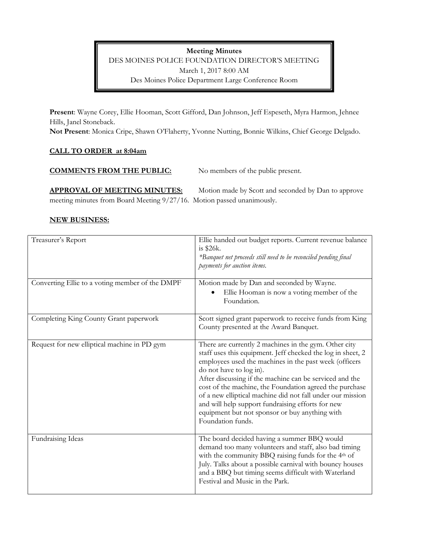Meeting Minutes DES MOINES POLICE FOUNDATION DIRECTOR'S MEETING March 1, 2017 8:00 AM Des Moines Police Department Large Conference Room

Present: Wayne Corey, Ellie Hooman, Scott Gifford, Dan Johnson, Jeff Espeseth, Myra Harmon, Jehnee Hills, Janel Stoneback.

Not Present: Monica Cripe, Shawn O'Flaherty, Yvonne Nutting, Bonnie Wilkins, Chief George Delgado.

## CALL TO ORDER at 8:04am

COMMENTS FROM THE PUBLIC: No members of the public present.

APPROVAL OF MEETING MINUTES: Motion made by Scott and seconded by Dan to approve meeting minutes from Board Meeting 9/27/16. Motion passed unanimously.

## NEW BUSINESS:

| Treasurer's Report                              | Ellie handed out budget reports. Current revenue balance<br>$is$ \$26 $k$ .<br>*Banquet net proceeds still need to be reconciled pending final<br>payments for auction items.                                                                                                                                                                                                                                                                                                                                             |
|-------------------------------------------------|---------------------------------------------------------------------------------------------------------------------------------------------------------------------------------------------------------------------------------------------------------------------------------------------------------------------------------------------------------------------------------------------------------------------------------------------------------------------------------------------------------------------------|
| Converting Ellie to a voting member of the DMPF | Motion made by Dan and seconded by Wayne.<br>Ellie Hooman is now a voting member of the<br>Foundation.                                                                                                                                                                                                                                                                                                                                                                                                                    |
| Completing King County Grant paperwork          | Scott signed grant paperwork to receive funds from King<br>County presented at the Award Banquet.                                                                                                                                                                                                                                                                                                                                                                                                                         |
| Request for new elliptical machine in PD gym    | There are currently 2 machines in the gym. Other city<br>staff uses this equipment. Jeff checked the log in sheet, 2<br>employees used the machines in the past week (officers<br>do not have to log in).<br>After discussing if the machine can be serviced and the<br>cost of the machine, the Foundation agreed the purchase<br>of a new elliptical machine did not fall under our mission<br>and will help support fundraising efforts for new<br>equipment but not sponsor or buy anything with<br>Foundation funds. |
| Fundraising Ideas                               | The board decided having a summer BBQ would<br>demand too many volunteers and staff, also bad timing<br>with the community BBQ raising funds for the 4th of<br>July. Talks about a possible carnival with bouncy houses<br>and a BBQ but timing seems difficult with Waterland<br>Festival and Music in the Park.                                                                                                                                                                                                         |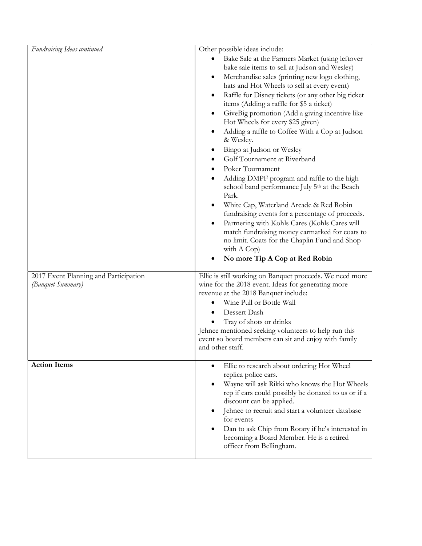| Fundraising Ideas continued           | Other possible ideas include:                                                                        |
|---------------------------------------|------------------------------------------------------------------------------------------------------|
|                                       | Bake Sale at the Farmers Market (using leftover                                                      |
|                                       | bake sale items to sell at Judson and Wesley)                                                        |
|                                       | Merchandise sales (printing new logo clothing,<br>hats and Hot Wheels to sell at every event)        |
|                                       | Raffle for Disney tickets (or any other big ticket                                                   |
|                                       | items (Adding a raffle for \$5 a ticket)                                                             |
|                                       | GiveBig promotion (Add a giving incentive like<br>Hot Wheels for every \$25 given)                   |
|                                       | Adding a raffle to Coffee With a Cop at Judson<br>& Wesley.                                          |
|                                       | Bingo at Judson or Wesley                                                                            |
|                                       | Golf Tournament at Riverband                                                                         |
|                                       | Poker Tournament                                                                                     |
|                                       | Adding DMPF program and raffle to the high                                                           |
|                                       | school band performance July 5 <sup>th</sup> at the Beach<br>Park.                                   |
|                                       | White Cap, Waterland Arcade & Red Robin                                                              |
|                                       | fundraising events for a percentage of proceeds.                                                     |
|                                       | Partnering with Kohls Cares (Kohls Cares will                                                        |
|                                       | match fundraising money earmarked for coats to                                                       |
|                                       | no limit. Coats for the Chaplin Fund and Shop                                                        |
|                                       | with A Cop)                                                                                          |
|                                       | No more Tip A Cop at Red Robin                                                                       |
| 2017 Event Planning and Participation | Ellie is still working on Banquet proceeds. We need more                                             |
| (Banquet Summary)                     | wine for the 2018 event. Ideas for generating more                                                   |
|                                       | revenue at the 2018 Banquet include:<br>Wine Pull or Bottle Wall                                     |
|                                       | Dessert Dash                                                                                         |
|                                       |                                                                                                      |
|                                       | Tray of shots or drinks<br>Jehnee mentioned seeking volunteers to help run this                      |
|                                       | event so board members can sit and enjoy with family                                                 |
|                                       | and other staff.                                                                                     |
|                                       |                                                                                                      |
| <b>Action Items</b>                   |                                                                                                      |
|                                       | Ellie to research about ordering Hot Wheel                                                           |
|                                       | replica police cars.                                                                                 |
|                                       | Wayne will ask Rikki who knows the Hot Wheels<br>rep if cars could possibly be donated to us or if a |
|                                       | discount can be applied.<br>Jehnee to recruit and start a volunteer database                         |
|                                       | for events                                                                                           |
|                                       | Dan to ask Chip from Rotary if he's interested in                                                    |
|                                       | becoming a Board Member. He is a retired<br>officer from Bellingham.                                 |